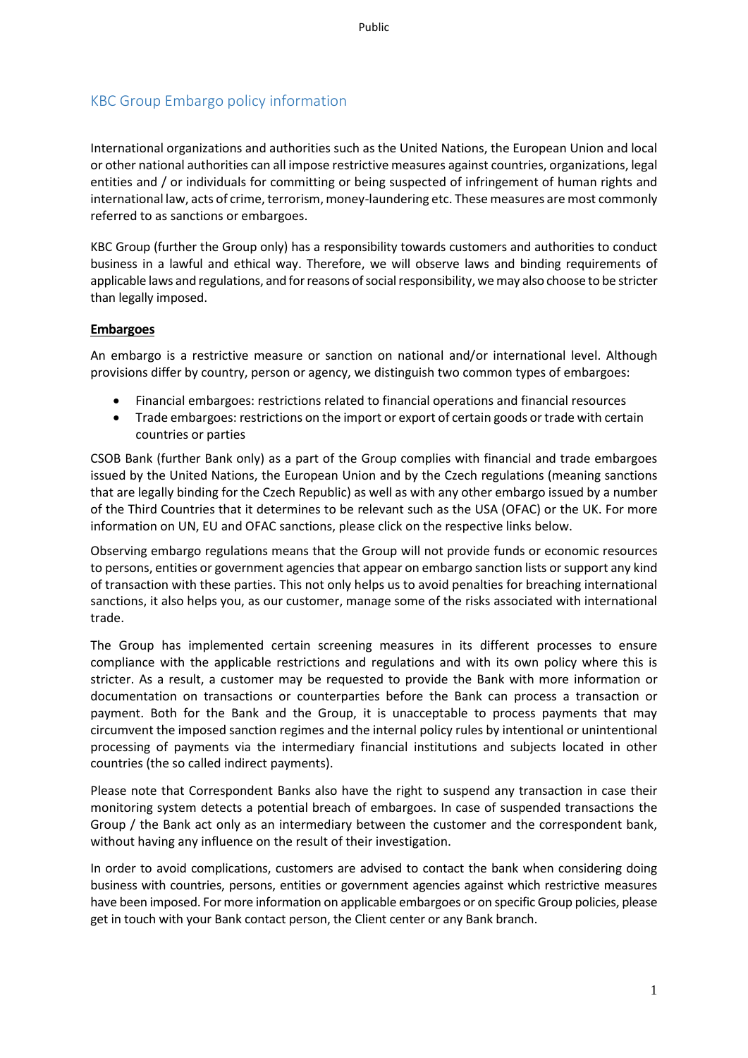# KBC Group Embargo policy information

International organizations and authorities such as the United Nations, the European Union and local or other national authorities can all impose restrictive measures against countries, organizations, legal entities and / or individuals for committing or being suspected of infringement of human rights and international law, acts of crime, terrorism, money-laundering etc. These measures are most commonly referred to as sanctions or embargoes.

KBC Group (further the Group only) has a responsibility towards customers and authorities to conduct business in a lawful and ethical way. Therefore, we will observe laws and binding requirements of applicable laws and regulations, and for reasons of social responsibility, we may also choose to be stricter than legally imposed.

# **Embargoes**

An embargo is a restrictive measure or sanction on national and/or international level. Although provisions differ by country, person or agency, we distinguish two common types of embargoes:

- Financial embargoes: restrictions related to financial operations and financial resources
- Trade embargoes: restrictions on the import or export of certain goods or trade with certain countries or parties

CSOB Bank (further Bank only) as a part of the Group complies with financial and trade embargoes issued by the United Nations, the European Union and by the Czech regulations (meaning sanctions that are legally binding for the Czech Republic) as well as with any other embargo issued by a number of the Third Countries that it determines to be relevant such as the USA (OFAC) or the UK. For more information on UN, EU and OFAC sanctions, please click on the respective links below.

Observing embargo regulations means that the Group will not provide funds or economic resources to persons, entities or government agencies that appear on embargo sanction lists or support any kind of transaction with these parties. This not only helps us to avoid penalties for breaching international sanctions, it also helps you, as our customer, manage some of the risks associated with international trade.

The Group has implemented certain screening measures in its different processes to ensure compliance with the applicable restrictions and regulations and with its own policy where this is stricter. As a result, a customer may be requested to provide the Bank with more information or documentation on transactions or counterparties before the Bank can process a transaction or payment. Both for the Bank and the Group, it is unacceptable to process payments that may circumvent the imposed sanction regimes and the internal policy rules by intentional or unintentional processing of payments via the intermediary financial institutions and subjects located in other countries (the so called indirect payments).

Please note that Correspondent Banks also have the right to suspend any transaction in case their monitoring system detects a potential breach of embargoes. In case of suspended transactions the Group / the Bank act only as an intermediary between the customer and the correspondent bank, without having any influence on the result of their investigation.

In order to avoid complications, customers are advised to contact the bank when considering doing business with countries, persons, entities or government agencies against which restrictive measures have been imposed. For more information on applicable embargoes or on specific Group policies, please get in touch with your Bank contact person, the Client center or any Bank branch.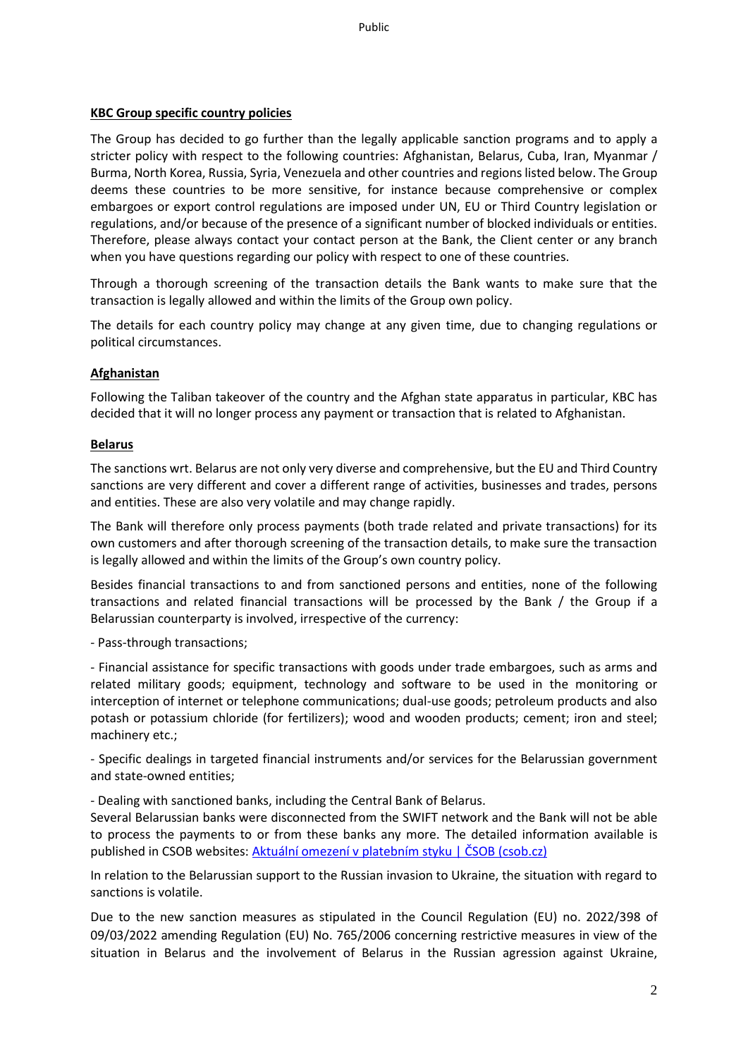# **KBC Group specific country policies**

The Group has decided to go further than the legally applicable sanction programs and to apply a stricter policy with respect to the following countries: Afghanistan, Belarus, Cuba, Iran, Myanmar / Burma, North Korea, Russia, Syria, Venezuela and other countries and regions listed below. The Group deems these countries to be more sensitive, for instance because comprehensive or complex embargoes or export control regulations are imposed under UN, EU or Third Country legislation or regulations, and/or because of the presence of a significant number of blocked individuals or entities. Therefore, please always contact your contact person at the Bank, the Client center or any branch when you have questions regarding our policy with respect to one of these countries.

Through a thorough screening of the transaction details the Bank wants to make sure that the transaction is legally allowed and within the limits of the Group own policy.

The details for each country policy may change at any given time, due to changing regulations or political circumstances.

# **Afghanistan**

Following the Taliban takeover of the country and the Afghan state apparatus in particular, KBC has decided that it will no longer process any payment or transaction that is related to Afghanistan.

#### **Belarus**

The sanctions wrt. Belarus are not only very diverse and comprehensive, but the EU and Third Country sanctions are very different and cover a different range of activities, businesses and trades, persons and entities. These are also very volatile and may change rapidly.

The Bank will therefore only process payments (both trade related and private transactions) for its own customers and after thorough screening of the transaction details, to make sure the transaction is legally allowed and within the limits of the Group's own country policy.

Besides financial transactions to and from sanctioned persons and entities, none of the following transactions and related financial transactions will be processed by the Bank / the Group if a Belarussian counterparty is involved, irrespective of the currency:

- Pass-through transactions;

- Financial assistance for specific transactions with goods under trade embargoes, such as arms and related military goods; equipment, technology and software to be used in the monitoring or interception of internet or telephone communications; dual-use goods; petroleum products and also potash or potassium chloride (for fertilizers); wood and wooden products; cement; iron and steel; machinery etc.;

- Specific dealings in targeted financial instruments and/or services for the Belarussian government and state-owned entities;

- Dealing with sanctioned banks, including the Central Bank of Belarus.

Several Belarussian banks were disconnected from the SWIFT network and the Bank will not be able to process the payments to or from these banks any more. The detailed information available is published in CSOB websites: [Aktuální omezení v platebním styku | ČSOB \(csob.cz\)](https://www.csob.cz/portal/-/n220314?redirect=%2Fportal%2F)

In relation to the Belarussian support to the Russian invasion to Ukraine, the situation with regard to sanctions is volatile.

Due to the new sanction measures as stipulated in the Council Regulation (EU) no. 2022/398 of 09/03/2022 amending Regulation (EU) No. 765/2006 concerning restrictive measures in view of the situation in Belarus and the involvement of Belarus in the Russian agression against Ukraine,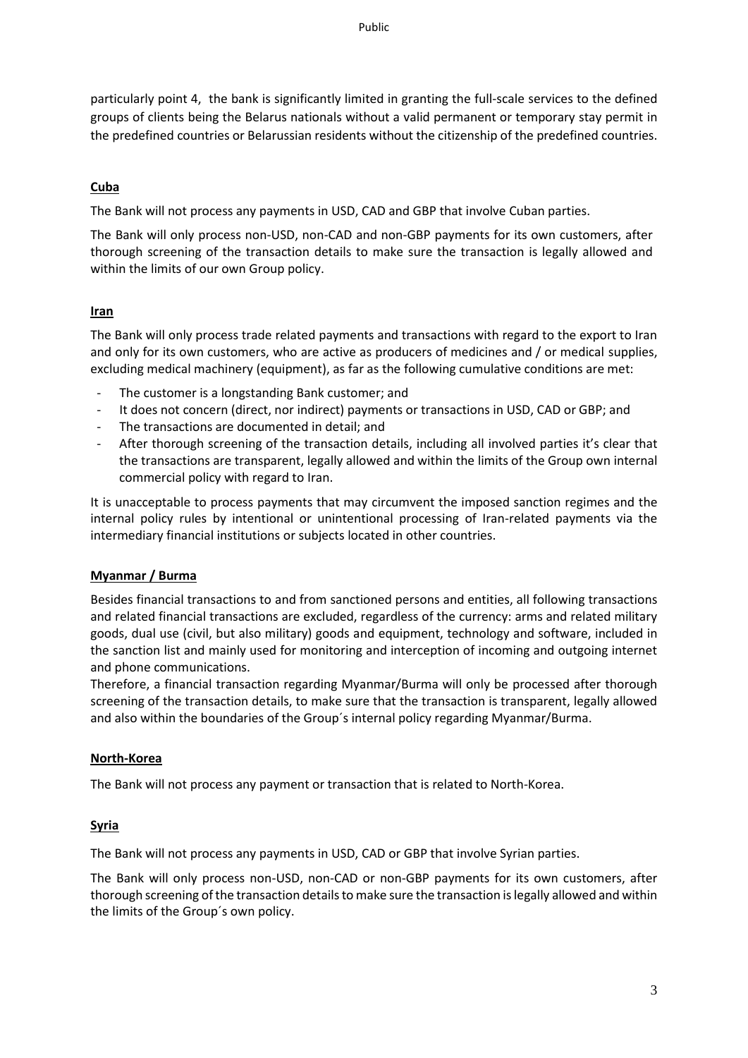particularly point 4, the bank is significantly limited in granting the full-scale services to the defined groups of clients being the Belarus nationals without a valid permanent or temporary stay permit in the predefined countries or Belarussian residents without the citizenship of the predefined countries.

# **Cuba**

The Bank will not process any payments in USD, CAD and GBP that involve Cuban parties.

The Bank will only process non-USD, non-CAD and non-GBP payments for its own customers, after thorough screening of the transaction details to make sure the transaction is legally allowed and within the limits of our own Group policy.

# **Iran**

The Bank will only process trade related payments and transactions with regard to the export to Iran and only for its own customers, who are active as producers of medicines and / or medical supplies, excluding medical machinery (equipment), as far as the following cumulative conditions are met:

- The customer is a longstanding Bank customer; and
- It does not concern (direct, nor indirect) payments or transactions in USD, CAD or GBP; and
- The transactions are documented in detail; and
- After thorough screening of the transaction details, including all involved parties it's clear that the transactions are transparent, legally allowed and within the limits of the Group own internal commercial policy with regard to Iran.

It is unacceptable to process payments that may circumvent the imposed sanction regimes and the internal policy rules by intentional or unintentional processing of Iran-related payments via the intermediary financial institutions or subjects located in other countries.

# **Myanmar / Burma**

Besides financial transactions to and from sanctioned persons and entities, all following transactions and related financial transactions are excluded, regardless of the currency: arms and related military goods, dual use (civil, but also military) goods and equipment, technology and software, included in the sanction list and mainly used for monitoring and interception of incoming and outgoing internet and phone communications.

Therefore, a financial transaction regarding Myanmar/Burma will only be processed after thorough screening of the transaction details, to make sure that the transaction is transparent, legally allowed and also within the boundaries of the Group´s internal policy regarding Myanmar/Burma.

#### **North-Korea**

The Bank will not process any payment or transaction that is related to North-Korea.

# **Syria**

The Bank will not process any payments in USD, CAD or GBP that involve Syrian parties.

The Bank will only process non-USD, non-CAD or non-GBP payments for its own customers, after thorough screening of the transaction details to make sure the transaction is legally allowed and within the limits of the Group´s own policy.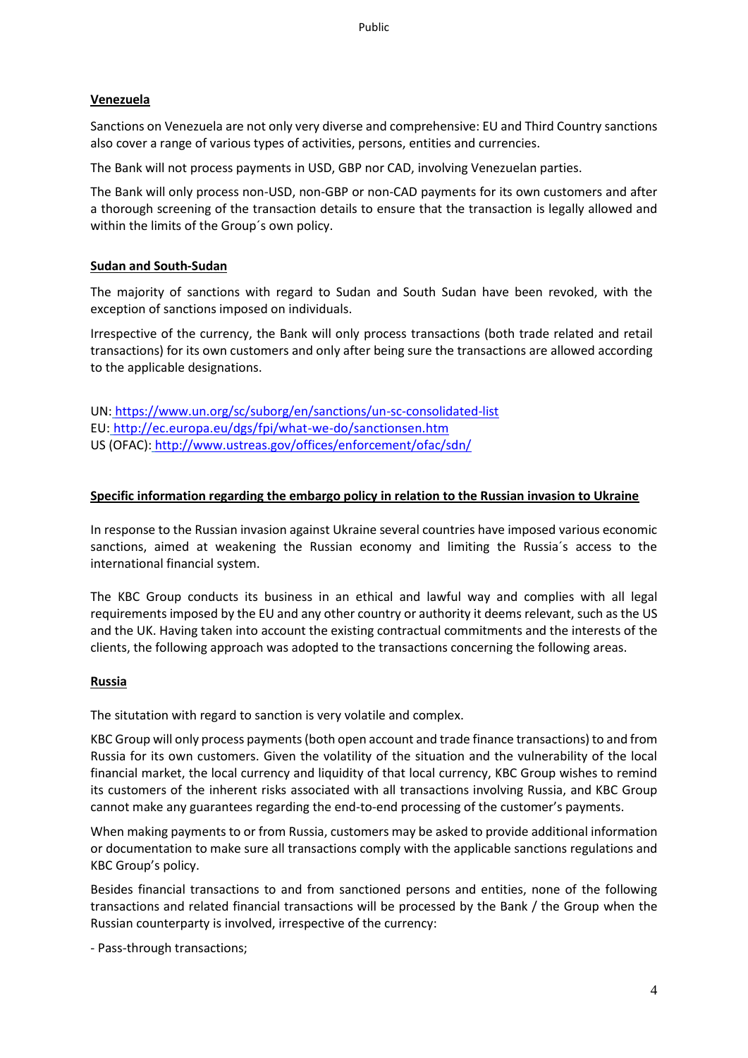# **Venezuela**

Sanctions on Venezuela are not only very diverse and comprehensive: EU and Third Country sanctions also cover a range of various types of activities, persons, entities and currencies.

The Bank will not process payments in USD, GBP nor CAD, involving Venezuelan parties.

The Bank will only process non-USD, non-GBP or non-CAD payments for its own customers and after a thorough screening of the transaction details to ensure that the transaction is legally allowed and within the limits of the Group´s own policy.

# **Sudan and South-Sudan**

The majority of sanctions with regard to Sudan and South Sudan have been revoked, with the exception of sanctions imposed on individuals.

Irrespective of the currency, the Bank will only process transactions (both trade related and retail transactions) for its own customers and only after being sure the transactions are allowed according to the applicable designations.

UN: <https://www.un.org/sc/suborg/en/sanctions/un-sc-consolidated-list> EU: <http://ec.europa.eu/dgs/fpi/what-we-do/sanctionsen.htm> US (OFAC): <http://www.ustreas.gov/offices/enforcement/ofac/sdn/>

# **Specific information regarding the embargo policy in relation to the Russian invasion to Ukraine**

In response to the Russian invasion against Ukraine several countries have imposed various economic sanctions, aimed at weakening the Russian economy and limiting the Russia´s access to the international financial system.

The KBC Group conducts its business in an ethical and lawful way and complies with all legal requirements imposed by the EU and any other country or authority it deems relevant, such as the US and the UK. Having taken into account the existing contractual commitments and the interests of the clients, the following approach was adopted to the transactions concerning the following areas.

#### **Russia**

The situtation with regard to sanction is very volatile and complex.

KBC Group will only process payments (both open account and trade finance transactions) to and from Russia for its own customers. Given the volatility of the situation and the vulnerability of the local financial market, the local currency and liquidity of that local currency, KBC Group wishes to remind its customers of the inherent risks associated with all transactions involving Russia, and KBC Group cannot make any guarantees regarding the end-to-end processing of the customer's payments.

When making payments to or from Russia, customers may be asked to provide additional information or documentation to make sure all transactions comply with the applicable sanctions regulations and KBC Group's policy.

Besides financial transactions to and from sanctioned persons and entities, none of the following transactions and related financial transactions will be processed by the Bank / the Group when the Russian counterparty is involved, irrespective of the currency:

- Pass-through transactions;